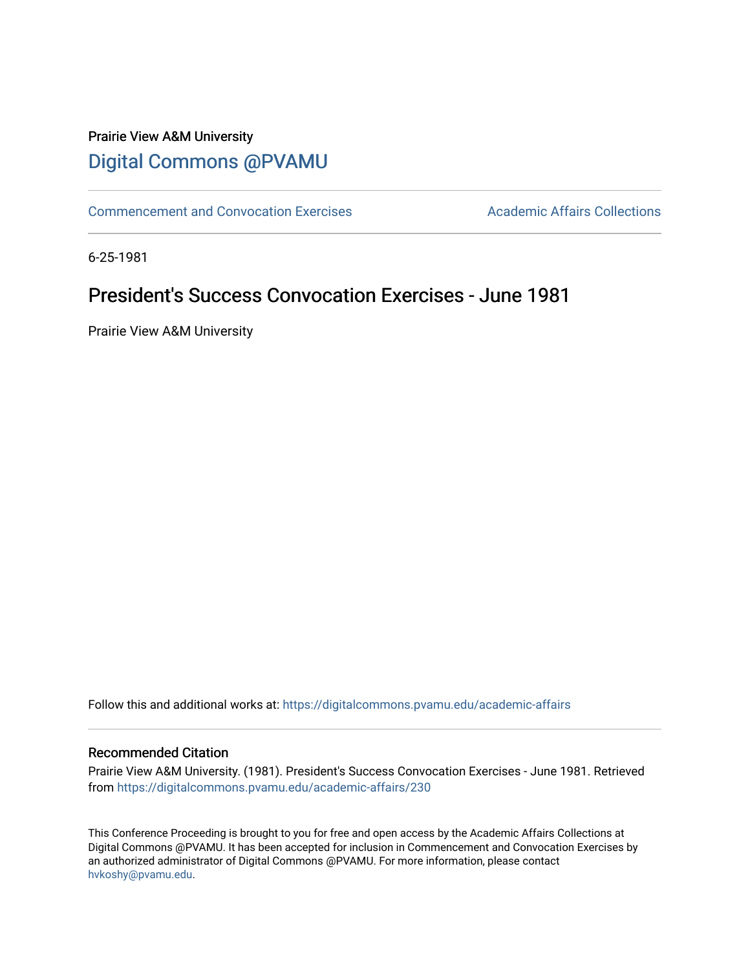## Prairie View A&M University [Digital Commons @PVAMU](https://digitalcommons.pvamu.edu/)

[Commencement and Convocation Exercises](https://digitalcommons.pvamu.edu/academic-affairs) **Academic Affairs Collections** 

6-25-1981

# President's Success Convocation Exercises - June 1981

Prairie View A&M University

Follow this and additional works at: [https://digitalcommons.pvamu.edu/academic-affairs](https://digitalcommons.pvamu.edu/academic-affairs?utm_source=digitalcommons.pvamu.edu%2Facademic-affairs%2F230&utm_medium=PDF&utm_campaign=PDFCoverPages)

#### Recommended Citation

Prairie View A&M University. (1981). President's Success Convocation Exercises - June 1981. Retrieved from [https://digitalcommons.pvamu.edu/academic-affairs/230](https://digitalcommons.pvamu.edu/academic-affairs/230?utm_source=digitalcommons.pvamu.edu%2Facademic-affairs%2F230&utm_medium=PDF&utm_campaign=PDFCoverPages) 

This Conference Proceeding is brought to you for free and open access by the Academic Affairs Collections at Digital Commons @PVAMU. It has been accepted for inclusion in Commencement and Convocation Exercises by an authorized administrator of Digital Commons @PVAMU. For more information, please contact [hvkoshy@pvamu.edu](mailto:hvkoshy@pvamu.edu).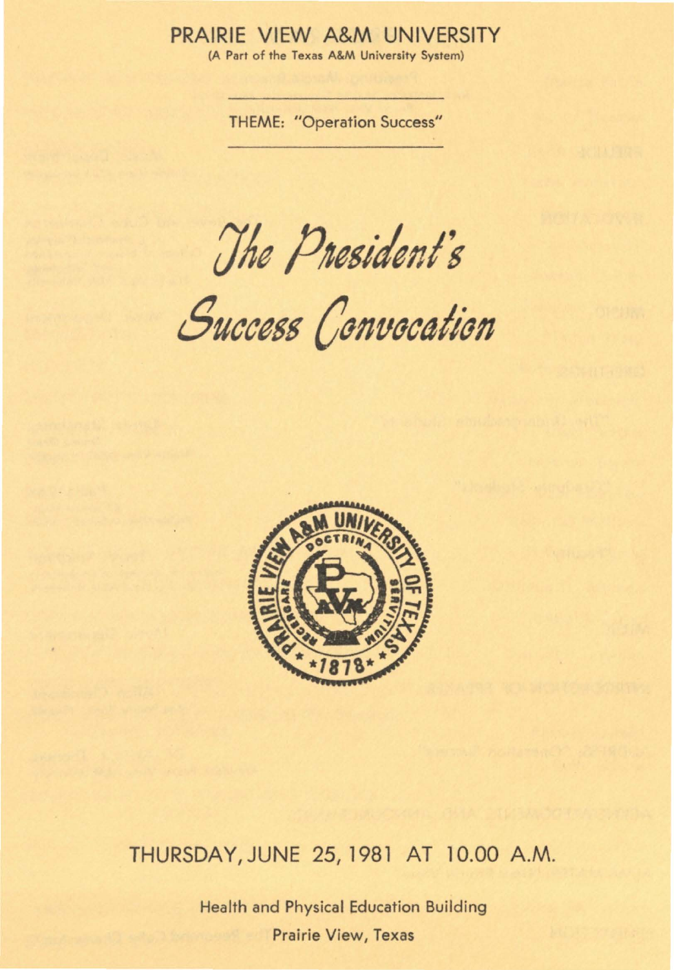### PRAIRIE VIEW A&M UNIVERSITY

(A Part of the Texas A&M University System)

**THEME: "Operation Success"** 

The President's

Success Convocation



## THURSDAY, JUNE 25, 1981 AT 10.00 A.M.

**Health and Physical Education Building Prairie View, Texas**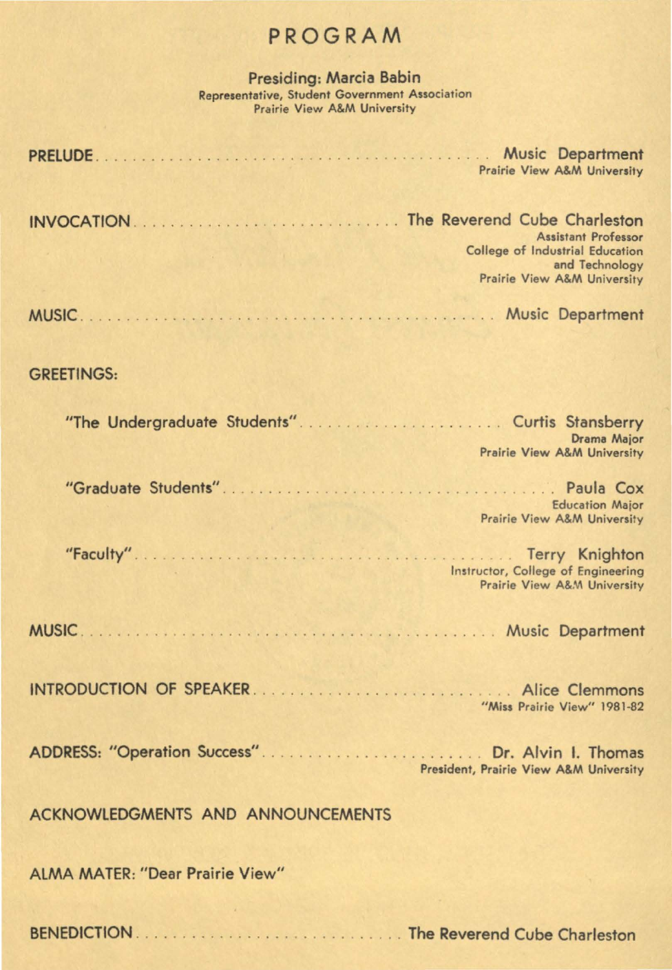## PROGRAM

Presiding: **Marcia** Babin Representative, Student Government Association Prairie View A&M University

| Prairie View A&M University                                                                                    |
|----------------------------------------------------------------------------------------------------------------|
| <b>Assistant Professor</b><br>College of Industrial Education<br>and Technology<br>Prairie View A&M University |
|                                                                                                                |

#### GREETINGS:

|                                        | Drama Major<br><b>Prairie View A&amp;M University</b>             |
|----------------------------------------|-------------------------------------------------------------------|
|                                        | <b>Education Major</b><br>Prairie View A&M University             |
|                                        | Instructor, College of Engineering<br>Prairie View A&M University |
|                                        |                                                                   |
|                                        | "Miss Prairie View" 1981-82                                       |
|                                        | President, Prairie View A&M University                            |
| ACKNOWLEDGMENTS AND ANNOUNCEMENTS      |                                                                   |
| <b>ALMA MATER: "Dear Prairie View"</b> |                                                                   |
|                                        |                                                                   |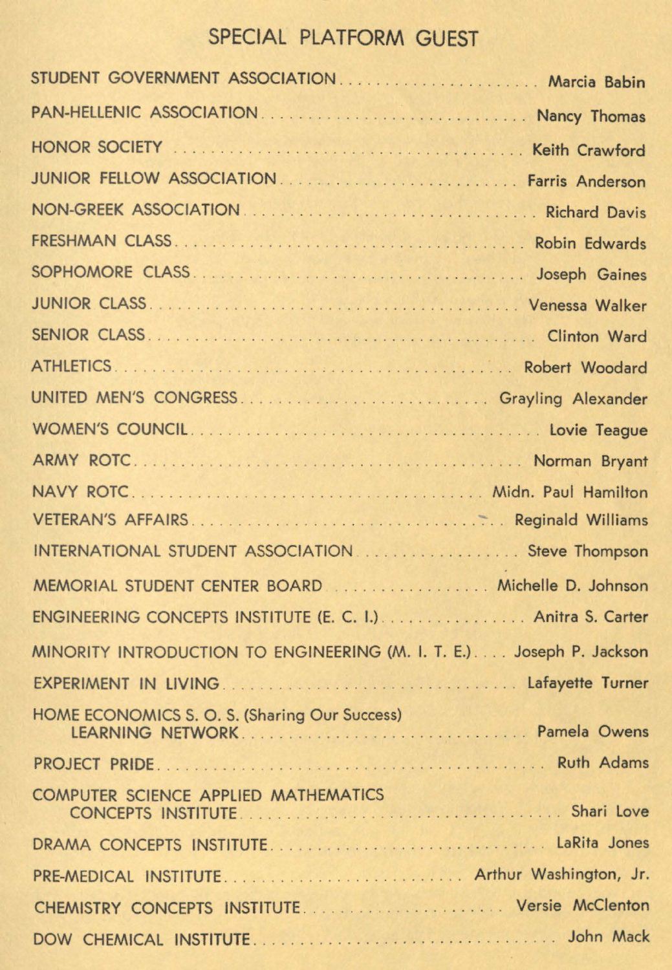# SPECIAL PLATFORM GUEST

| STUDENT GOVERNMENT ASSOCIATION Marcia Babin                          |
|----------------------------------------------------------------------|
|                                                                      |
|                                                                      |
|                                                                      |
|                                                                      |
|                                                                      |
|                                                                      |
|                                                                      |
|                                                                      |
|                                                                      |
| UNITED MEN'S CONGRESS  Grayling Alexander                            |
|                                                                      |
|                                                                      |
|                                                                      |
|                                                                      |
| INTERNATIONAL STUDENT ASSOCIATION  Steve Thompson                    |
|                                                                      |
| ENGINEERING CONCEPTS INSTITUTE (E. C. I.)  Anitra S. Carter          |
| MINORITY INTRODUCTION TO ENGINEERING (M. I. T. E.) Joseph P. Jackson |
|                                                                      |
| HOME ECONOMICS S. O. S. (Sharing Our Success)<br>LEARNING NETWORK    |
|                                                                      |
| COMPUTER SCIENCE APPLIED MATHEMATICS                                 |
|                                                                      |
|                                                                      |
|                                                                      |
|                                                                      |